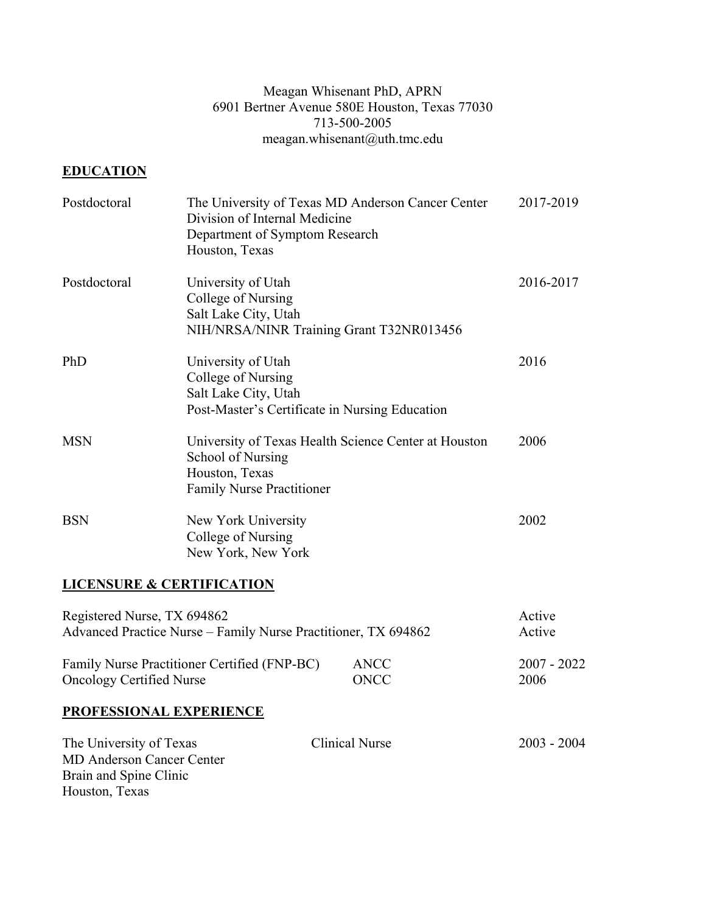### Meagan Whisenant PhD, APRN 6901 Bertner Avenue 580E Houston, Texas 77030 713-500-2005 meagan.whisenant@uth.tmc.edu

# **EDUCATION**

Houston, Texas

| Postdoctoral                                                                                           | Division of Internal Medicine<br>Department of Symptom Research<br>Houston, Texas                                  | The University of Texas MD Anderson Cancer Center    | 2017-2019        |
|--------------------------------------------------------------------------------------------------------|--------------------------------------------------------------------------------------------------------------------|------------------------------------------------------|------------------|
| Postdoctoral                                                                                           | University of Utah<br>College of Nursing<br>Salt Lake City, Utah<br>NIH/NRSA/NINR Training Grant T32NR013456       |                                                      | 2016-2017        |
| PhD                                                                                                    | University of Utah<br>College of Nursing<br>Salt Lake City, Utah<br>Post-Master's Certificate in Nursing Education |                                                      | 2016             |
| <b>MSN</b>                                                                                             | School of Nursing<br>Houston, Texas<br>Family Nurse Practitioner                                                   | University of Texas Health Science Center at Houston | 2006             |
| <b>BSN</b>                                                                                             | New York University<br>College of Nursing<br>New York, New York                                                    |                                                      | 2002             |
| <b>LICENSURE &amp; CERTIFICATION</b>                                                                   |                                                                                                                    |                                                      |                  |
| Registered Nurse, TX 694862                                                                            | Advanced Practice Nurse - Family Nurse Practitioner, TX 694862                                                     |                                                      | Active<br>Active |
| Family Nurse Practitioner Certified (FNP-BC)<br><b>ANCC</b><br>ONCC<br><b>Oncology Certified Nurse</b> |                                                                                                                    | $2007 - 2022$<br>2006                                |                  |
| <b>PROFESSIONAL EXPERIENCE</b>                                                                         |                                                                                                                    |                                                      |                  |
| The University of Texas<br><b>MD Anderson Cancer Center</b><br>Brain and Spine Clinic                  |                                                                                                                    | <b>Clinical Nurse</b>                                | $2003 - 2004$    |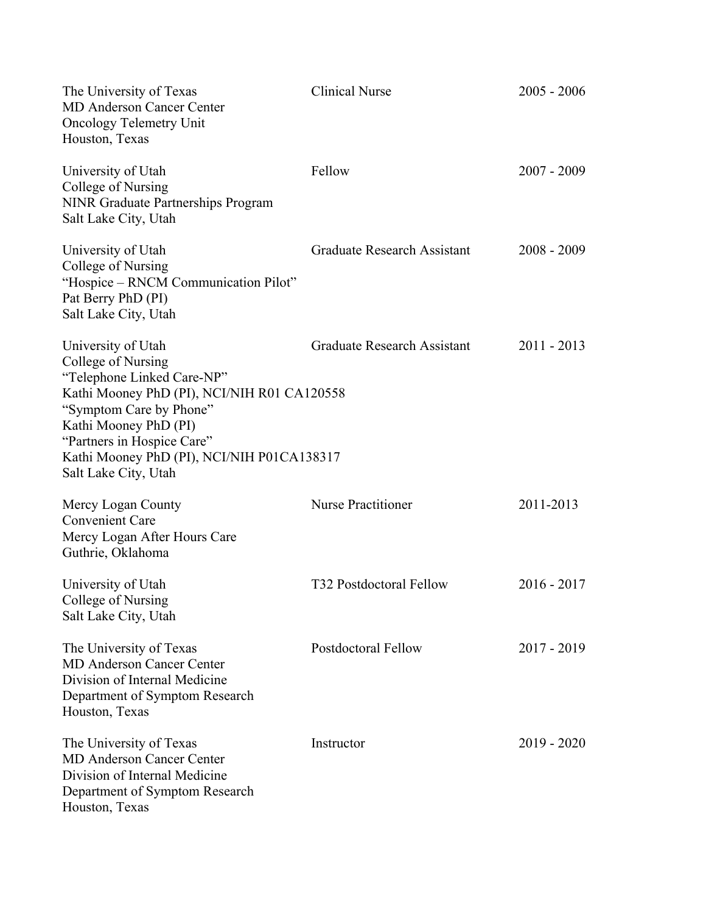| The University of Texas<br><b>MD Anderson Cancer Center</b><br><b>Oncology Telemetry Unit</b><br>Houston, Texas                                                                                                                                                               | <b>Clinical Nurse</b>              | $2005 - 2006$ |
|-------------------------------------------------------------------------------------------------------------------------------------------------------------------------------------------------------------------------------------------------------------------------------|------------------------------------|---------------|
| University of Utah<br>College of Nursing<br>NINR Graduate Partnerships Program<br>Salt Lake City, Utah                                                                                                                                                                        | Fellow                             | $2007 - 2009$ |
| University of Utah<br>College of Nursing<br>"Hospice – RNCM Communication Pilot"<br>Pat Berry PhD (PI)<br>Salt Lake City, Utah                                                                                                                                                | <b>Graduate Research Assistant</b> | $2008 - 2009$ |
| University of Utah<br>College of Nursing<br>"Telephone Linked Care-NP"<br>Kathi Mooney PhD (PI), NCI/NIH R01 CA120558<br>"Symptom Care by Phone"<br>Kathi Mooney PhD (PI)<br>"Partners in Hospice Care"<br>Kathi Mooney PhD (PI), NCI/NIH P01CA138317<br>Salt Lake City, Utah | <b>Graduate Research Assistant</b> | $2011 - 2013$ |
| Mercy Logan County<br><b>Convenient Care</b><br>Mercy Logan After Hours Care<br>Guthrie, Oklahoma                                                                                                                                                                             | <b>Nurse Practitioner</b>          | 2011-2013     |
| University of Utah<br>College of Nursing<br>Salt Lake City, Utah                                                                                                                                                                                                              | T32 Postdoctoral Fellow            | $2016 - 2017$ |
| The University of Texas<br><b>MD Anderson Cancer Center</b><br>Division of Internal Medicine<br>Department of Symptom Research<br>Houston, Texas                                                                                                                              | <b>Postdoctoral Fellow</b>         | $2017 - 2019$ |
| The University of Texas<br><b>MD Anderson Cancer Center</b><br>Division of Internal Medicine<br>Department of Symptom Research<br>Houston, Texas                                                                                                                              | Instructor                         | $2019 - 2020$ |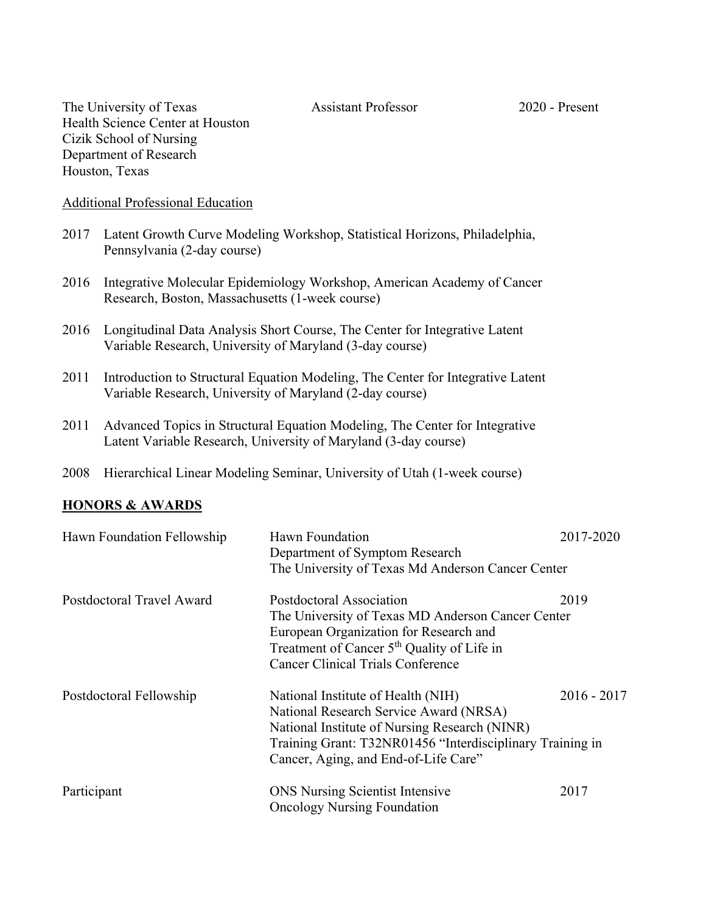The University of Texas Assistant Professor 2020 - Present Health Science Center at Houston Cizik School of Nursing Department of Research Houston, Texas

#### Additional Professional Education

- 2017 Latent Growth Curve Modeling Workshop, Statistical Horizons, Philadelphia, Pennsylvania (2-day course)
- 2016 Integrative Molecular Epidemiology Workshop, American Academy of Cancer Research, Boston, Massachusetts (1-week course)
- 2016 Longitudinal Data Analysis Short Course, The Center for Integrative Latent Variable Research, University of Maryland (3-day course)
- 2011 Introduction to Structural Equation Modeling, The Center for Integrative Latent Variable Research, University of Maryland (2-day course)
- 2011 Advanced Topics in Structural Equation Modeling, The Center for Integrative Latent Variable Research, University of Maryland (3-day course)
- 2008 Hierarchical Linear Modeling Seminar, University of Utah (1-week course)

#### **HONORS & AWARDS**

| Hawn Foundation Fellowship | Hawn Foundation<br>Department of Symptom Research         | 2017-2020     |
|----------------------------|-----------------------------------------------------------|---------------|
|                            | The University of Texas Md Anderson Cancer Center         |               |
| Postdoctoral Travel Award  | Postdoctoral Association                                  | 2019          |
|                            | The University of Texas MD Anderson Cancer Center         |               |
|                            | European Organization for Research and                    |               |
|                            | Treatment of Cancer 5 <sup>th</sup> Quality of Life in    |               |
|                            | <b>Cancer Clinical Trials Conference</b>                  |               |
| Postdoctoral Fellowship    | National Institute of Health (NIH)                        | $2016 - 2017$ |
|                            | National Research Service Award (NRSA)                    |               |
|                            | National Institute of Nursing Research (NINR)             |               |
|                            | Training Grant: T32NR01456 "Interdisciplinary Training in |               |
|                            | Cancer, Aging, and End-of-Life Care"                      |               |
| Participant                | <b>ONS</b> Nursing Scientist Intensive                    | 2017          |
|                            | <b>Oncology Nursing Foundation</b>                        |               |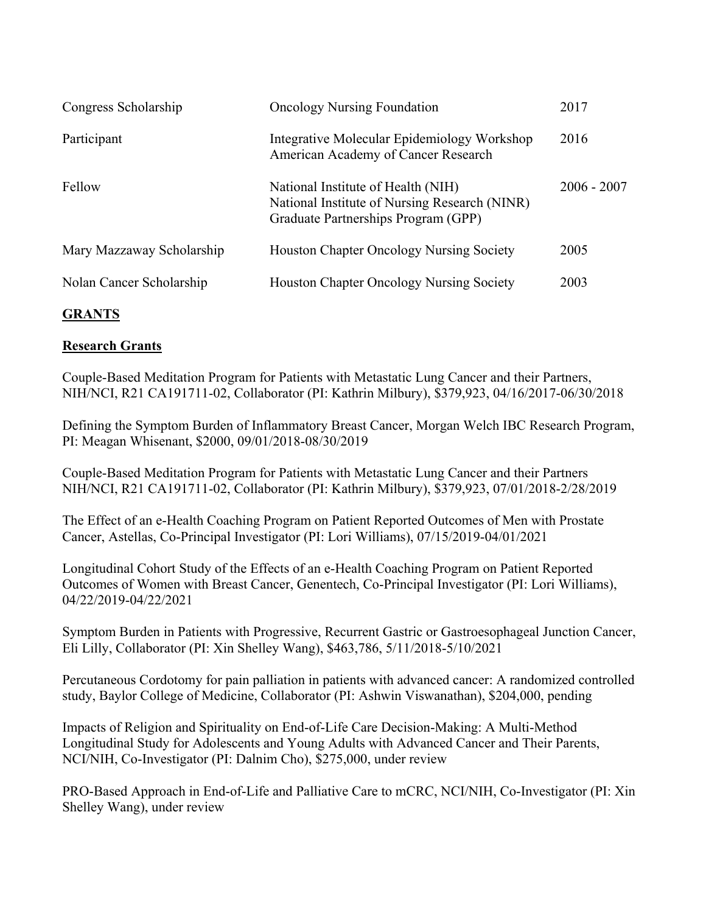| Congress Scholarship      | <b>Oncology Nursing Foundation</b>                                                                                         | 2017          |
|---------------------------|----------------------------------------------------------------------------------------------------------------------------|---------------|
| Participant               | Integrative Molecular Epidemiology Workshop<br>American Academy of Cancer Research                                         | 2016          |
| Fellow                    | National Institute of Health (NIH)<br>National Institute of Nursing Research (NINR)<br>Graduate Partnerships Program (GPP) | $2006 - 2007$ |
| Mary Mazzaway Scholarship | <b>Houston Chapter Oncology Nursing Society</b>                                                                            | 2005          |
| Nolan Cancer Scholarship  | <b>Houston Chapter Oncology Nursing Society</b>                                                                            | 2003          |

# **GRANTS**

## **Research Grants**

Couple-Based Meditation Program for Patients with Metastatic Lung Cancer and their Partners, NIH/NCI, R21 CA191711-02, Collaborator (PI: Kathrin Milbury), \$379,923, 04/16/2017-06/30/2018

Defining the Symptom Burden of Inflammatory Breast Cancer, Morgan Welch IBC Research Program, PI: Meagan Whisenant, \$2000, 09/01/2018-08/30/2019

Couple-Based Meditation Program for Patients with Metastatic Lung Cancer and their Partners NIH/NCI, R21 CA191711-02, Collaborator (PI: Kathrin Milbury), \$379,923, 07/01/2018-2/28/2019

The Effect of an e-Health Coaching Program on Patient Reported Outcomes of Men with Prostate Cancer, Astellas, Co-Principal Investigator (PI: Lori Williams), 07/15/2019-04/01/2021

Longitudinal Cohort Study of the Effects of an e-Health Coaching Program on Patient Reported Outcomes of Women with Breast Cancer, Genentech, Co-Principal Investigator (PI: Lori Williams), 04/22/2019-04/22/2021

Symptom Burden in Patients with Progressive, Recurrent Gastric or Gastroesophageal Junction Cancer, Eli Lilly, Collaborator (PI: Xin Shelley Wang), \$463,786, 5/11/2018-5/10/2021

Percutaneous Cordotomy for pain palliation in patients with advanced cancer: A randomized controlled study, Baylor College of Medicine, Collaborator (PI: Ashwin Viswanathan), \$204,000, pending

Impacts of Religion and Spirituality on End-of-Life Care Decision-Making: A Multi-Method Longitudinal Study for Adolescents and Young Adults with Advanced Cancer and Their Parents, NCI/NIH, Co-Investigator (PI: Dalnim Cho), \$275,000, under review

PRO-Based Approach in End-of-Life and Palliative Care to mCRC, NCI/NIH, Co-Investigator (PI: Xin Shelley Wang), under review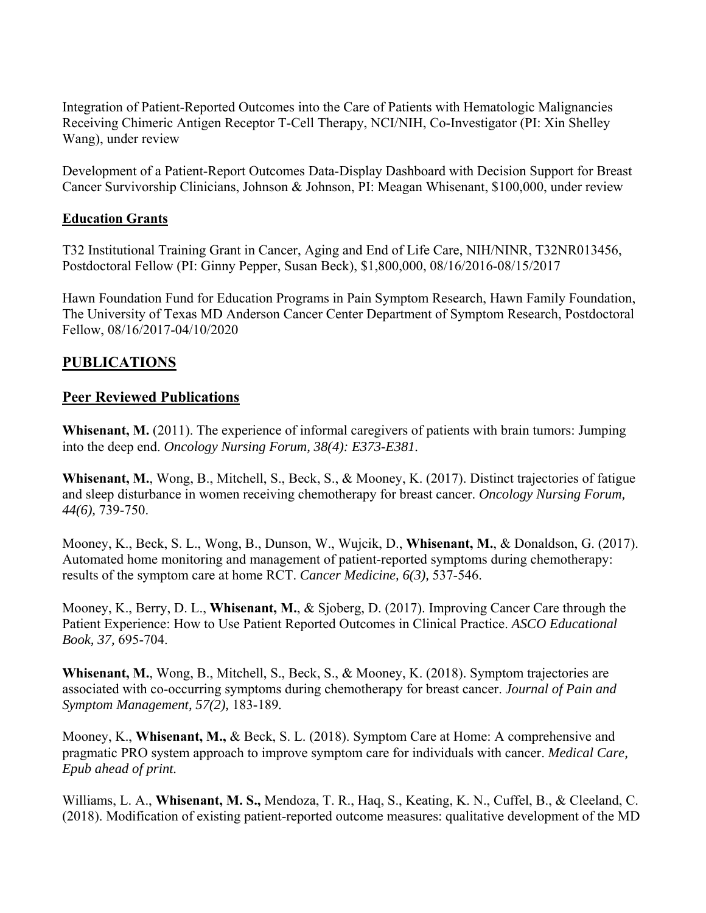Integration of Patient-Reported Outcomes into the Care of Patients with Hematologic Malignancies Receiving Chimeric Antigen Receptor T-Cell Therapy, NCI/NIH, Co-Investigator (PI: Xin Shelley Wang), under review

Development of a Patient-Report Outcomes Data-Display Dashboard with Decision Support for Breast Cancer Survivorship Clinicians, Johnson & Johnson, PI: Meagan Whisenant, \$100,000, under review

### **Education Grants**

T32 Institutional Training Grant in Cancer, Aging and End of Life Care, NIH/NINR, T32NR013456, Postdoctoral Fellow (PI: Ginny Pepper, Susan Beck), \$1,800,000, 08/16/2016-08/15/2017

Hawn Foundation Fund for Education Programs in Pain Symptom Research, Hawn Family Foundation, The University of Texas MD Anderson Cancer Center Department of Symptom Research, Postdoctoral Fellow, 08/16/2017-04/10/2020

## **PUBLICATIONS**

## **Peer Reviewed Publications**

**Whisenant, M.** (2011). The experience of informal caregivers of patients with brain tumors: Jumping into the deep end. *Oncology Nursing Forum, 38(4): E373-E381.* 

**Whisenant, M.**, Wong, B., Mitchell, S., Beck, S., & Mooney, K. (2017). Distinct trajectories of fatigue and sleep disturbance in women receiving chemotherapy for breast cancer. *Oncology Nursing Forum, 44(6),* 739-750.

Mooney, K., Beck, S. L., Wong, B., Dunson, W., Wujcik, D., **Whisenant, M.**, & Donaldson, G. (2017). Automated home monitoring and management of patient-reported symptoms during chemotherapy: results of the symptom care at home RCT. *Cancer Medicine, 6(3),* 537-546.

Mooney, K., Berry, D. L., **Whisenant, M.**, & Sjoberg, D. (2017). Improving Cancer Care through the Patient Experience: How to Use Patient Reported Outcomes in Clinical Practice. *ASCO Educational Book, 37,* 695-704.

**Whisenant, M.**, Wong, B., Mitchell, S., Beck, S., & Mooney, K. (2018). Symptom trajectories are associated with co-occurring symptoms during chemotherapy for breast cancer. *Journal of Pain and Symptom Management, 57(2),* 183-189*.* 

Mooney, K., **Whisenant, M.,** & Beck, S. L. (2018). Symptom Care at Home: A comprehensive and pragmatic PRO system approach to improve symptom care for individuals with cancer. *Medical Care, Epub ahead of print.* 

Williams, L. A., **Whisenant, M. S.,** Mendoza, T. R., Haq, S., Keating, K. N., Cuffel, B., & Cleeland, C. (2018). Modification of existing patient-reported outcome measures: qualitative development of the MD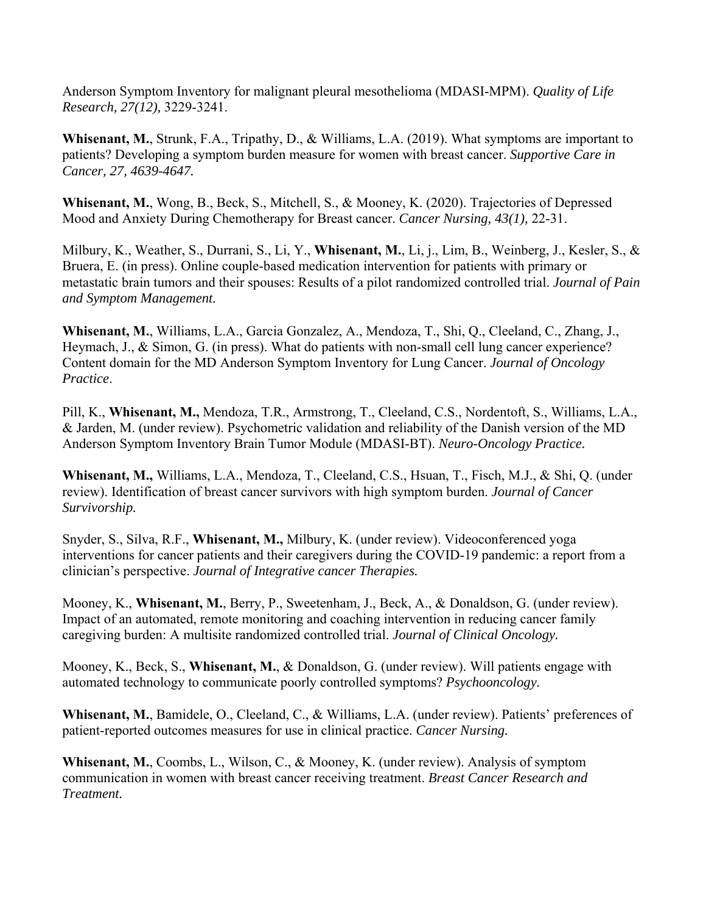Anderson Symptom Inventory for malignant pleural mesothelioma (MDASI-MPM). *Quality of Life Research, 27(12),* 3229-3241.

**Whisenant, M.**, Strunk, F.A., Tripathy, D., & Williams, L.A. (2019). What symptoms are important to patients? Developing a symptom burden measure for women with breast cancer. *Supportive Care in Cancer, 27, 4639-4647.* 

**Whisenant, M.**, Wong, B., Beck, S., Mitchell, S., & Mooney, K. (2020). Trajectories of Depressed Mood and Anxiety During Chemotherapy for Breast cancer. *Cancer Nursing, 43(1),* 22-31.

Milbury, K., Weather, S., Durrani, S., Li, Y., **Whisenant, M.**, Li, j., Lim, B., Weinberg, J., Kesler, S., & Bruera, E. (in press). Online couple-based medication intervention for patients with primary or metastatic brain tumors and their spouses: Results of a pilot randomized controlled trial. *Journal of Pain and Symptom Management.* 

**Whisenant, M.**, Williams, L.A., Garcia Gonzalez, A., Mendoza, T., Shi, Q., Cleeland, C., Zhang, J., Heymach, J., & Simon, G. (in press). What do patients with non-small cell lung cancer experience? Content domain for the MD Anderson Symptom Inventory for Lung Cancer. *Journal of Oncology Practice*.

Pill, K., **Whisenant, M.,** Mendoza, T.R., Armstrong, T., Cleeland, C.S., Nordentoft, S., Williams, L.A., & Jarden, M. (under review). Psychometric validation and reliability of the Danish version of the MD Anderson Symptom Inventory Brain Tumor Module (MDASI-BT). *Neuro-Oncology Practice.* 

**Whisenant, M.,** Williams, L.A., Mendoza, T., Cleeland, C.S., Hsuan, T., Fisch, M.J., & Shi, Q. (under review). Identification of breast cancer survivors with high symptom burden. *Journal of Cancer Survivorship.* 

Snyder, S., Silva, R.F., **Whisenant, M.,** Milbury, K. (under review). Videoconferenced yoga interventions for cancer patients and their caregivers during the COVID-19 pandemic: a report from a clinician's perspective. *Journal of Integrative cancer Therapies.* 

Mooney, K., **Whisenant, M.**, Berry, P., Sweetenham, J., Beck, A., & Donaldson, G. (under review). Impact of an automated, remote monitoring and coaching intervention in reducing cancer family caregiving burden: A multisite randomized controlled trial. *Journal of Clinical Oncology.* 

Mooney, K., Beck, S., **Whisenant, M.**, & Donaldson, G. (under review). Will patients engage with automated technology to communicate poorly controlled symptoms? *Psychooncology.* 

**Whisenant, M.**, Bamidele, O., Cleeland, C., & Williams, L.A. (under review). Patients' preferences of patient-reported outcomes measures for use in clinical practice. *Cancer Nursing.* 

**Whisenant, M.**, Coombs, L., Wilson, C., & Mooney, K. (under review). Analysis of symptom communication in women with breast cancer receiving treatment. *Breast Cancer Research and Treatment.*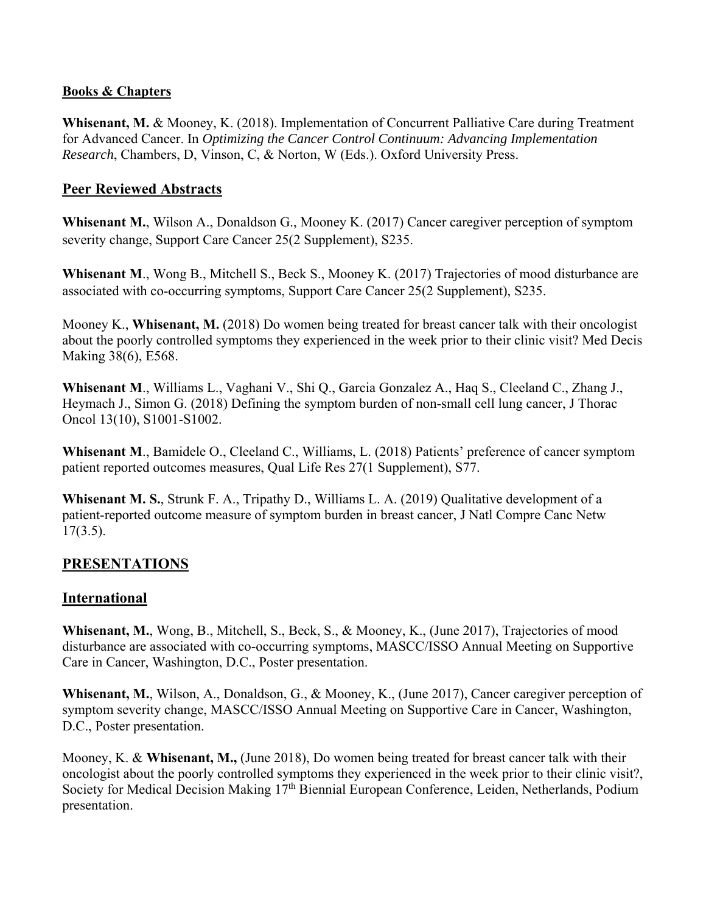### **Books & Chapters**

**Whisenant, M.** & Mooney, K. (2018). Implementation of Concurrent Palliative Care during Treatment for Advanced Cancer. In *Optimizing the Cancer Control Continuum: Advancing Implementation Research*, Chambers, D, Vinson, C, & Norton, W (Eds.). Oxford University Press.

## **Peer Reviewed Abstracts**

**Whisenant M.**, Wilson A., Donaldson G., Mooney K. (2017) Cancer caregiver perception of symptom severity change, Support Care Cancer 25(2 Supplement), S235.

**Whisenant M**., Wong B., Mitchell S., Beck S., Mooney K. (2017) Trajectories of mood disturbance are associated with co-occurring symptoms, Support Care Cancer 25(2 Supplement), S235.

Mooney K., **Whisenant, M.** (2018) Do women being treated for breast cancer talk with their oncologist about the poorly controlled symptoms they experienced in the week prior to their clinic visit? Med Decis Making 38(6), E568.

**Whisenant M**., Williams L., Vaghani V., Shi Q., Garcia Gonzalez A., Haq S., Cleeland C., Zhang J., Heymach J., Simon G. (2018) Defining the symptom burden of non-small cell lung cancer, J Thorac Oncol 13(10), S1001-S1002.

**Whisenant M**., Bamidele O., Cleeland C., Williams, L. (2018) Patients' preference of cancer symptom patient reported outcomes measures, Qual Life Res 27(1 Supplement), S77.

**Whisenant M. S.**, Strunk F. A., Tripathy D., Williams L. A. (2019) Qualitative development of a patient-reported outcome measure of symptom burden in breast cancer, J Natl Compre Canc Netw  $17(3.5)$ .

# **PRESENTATIONS**

## **International**

**Whisenant, M.**, Wong, B., Mitchell, S., Beck, S., & Mooney, K., (June 2017), Trajectories of mood disturbance are associated with co-occurring symptoms, MASCC/ISSO Annual Meeting on Supportive Care in Cancer, Washington, D.C., Poster presentation.

**Whisenant, M.**, Wilson, A., Donaldson, G., & Mooney, K., (June 2017), Cancer caregiver perception of symptom severity change, MASCC/ISSO Annual Meeting on Supportive Care in Cancer, Washington, D.C., Poster presentation.

Mooney, K. & **Whisenant, M.,** (June 2018), Do women being treated for breast cancer talk with their oncologist about the poorly controlled symptoms they experienced in the week prior to their clinic visit?, Society for Medical Decision Making 17<sup>th</sup> Biennial European Conference, Leiden, Netherlands, Podium presentation.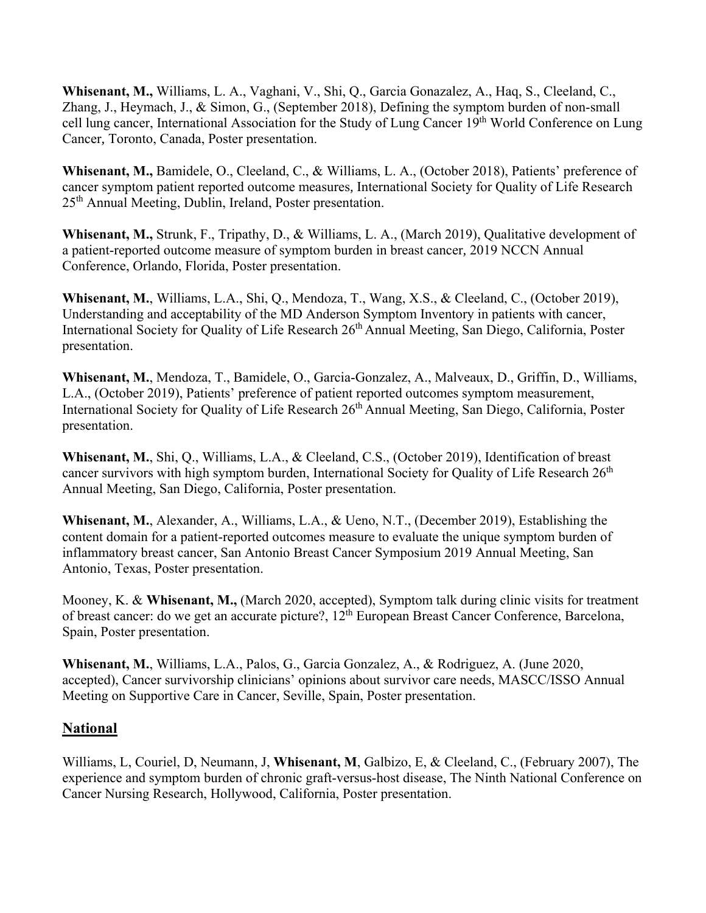**Whisenant, M.,** Williams, L. A., Vaghani, V., Shi, Q., Garcia Gonazalez, A., Haq, S., Cleeland, C., Zhang, J., Heymach, J., & Simon, G., (September 2018), Defining the symptom burden of non-small cell lung cancer, International Association for the Study of Lung Cancer 19<sup>th</sup> World Conference on Lung Cancer*,* Toronto, Canada, Poster presentation.

**Whisenant, M.,** Bamidele, O., Cleeland, C., & Williams, L. A., (October 2018), Patients' preference of cancer symptom patient reported outcome measures*,* International Society for Quality of Life Research 25th Annual Meeting, Dublin, Ireland, Poster presentation.

**Whisenant, M.,** Strunk, F., Tripathy, D., & Williams, L. A., (March 2019), Qualitative development of a patient-reported outcome measure of symptom burden in breast cancer*,* 2019 NCCN Annual Conference, Orlando, Florida, Poster presentation.

**Whisenant, M.**, Williams, L.A., Shi, Q., Mendoza, T., Wang, X.S., & Cleeland, C., (October 2019), Understanding and acceptability of the MD Anderson Symptom Inventory in patients with cancer, International Society for Quality of Life Research 26<sup>th</sup> Annual Meeting, San Diego, California, Poster presentation.

**Whisenant, M.**, Mendoza, T., Bamidele, O., Garcia-Gonzalez, A., Malveaux, D., Griffin, D., Williams, L.A., (October 2019), Patients' preference of patient reported outcomes symptom measurement, International Society for Quality of Life Research 26<sup>th</sup> Annual Meeting, San Diego, California, Poster presentation.

**Whisenant, M.**, Shi, Q., Williams, L.A., & Cleeland, C.S., (October 2019), Identification of breast cancer survivors with high symptom burden, International Society for Quality of Life Research  $26<sup>th</sup>$ Annual Meeting, San Diego, California, Poster presentation.

**Whisenant, M.**, Alexander, A., Williams, L.A., & Ueno, N.T., (December 2019), Establishing the content domain for a patient-reported outcomes measure to evaluate the unique symptom burden of inflammatory breast cancer, San Antonio Breast Cancer Symposium 2019 Annual Meeting, San Antonio, Texas, Poster presentation.

Mooney, K. & **Whisenant, M.,** (March 2020, accepted), Symptom talk during clinic visits for treatment of breast cancer: do we get an accurate picture?,  $12^{th}$  European Breast Cancer Conference, Barcelona, Spain, Poster presentation.

**Whisenant, M.**, Williams, L.A., Palos, G., Garcia Gonzalez, A., & Rodriguez, A. (June 2020, accepted), Cancer survivorship clinicians' opinions about survivor care needs, MASCC/ISSO Annual Meeting on Supportive Care in Cancer, Seville, Spain, Poster presentation.

# **National**

Williams, L, Couriel, D, Neumann, J, **Whisenant, M**, Galbizo, E, & Cleeland, C., (February 2007), The experience and symptom burden of chronic graft-versus-host disease, The Ninth National Conference on Cancer Nursing Research, Hollywood, California, Poster presentation.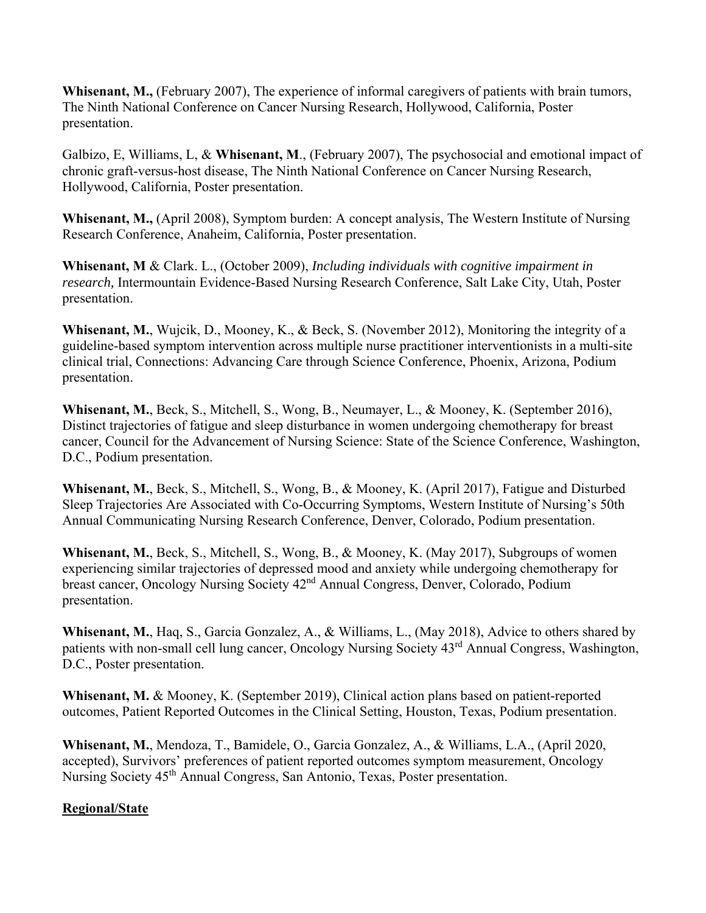**Whisenant, M.,** (February 2007), The experience of informal caregivers of patients with brain tumors, The Ninth National Conference on Cancer Nursing Research, Hollywood, California, Poster presentation.

Galbizo, E, Williams, L, & **Whisenant, M**., (February 2007), The psychosocial and emotional impact of chronic graft-versus-host disease, The Ninth National Conference on Cancer Nursing Research, Hollywood, California, Poster presentation.

**Whisenant, M.,** (April 2008), Symptom burden: A concept analysis, The Western Institute of Nursing Research Conference, Anaheim, California, Poster presentation.

**Whisenant, M** & Clark. L., (October 2009), *Including individuals with cognitive impairment in research,* Intermountain Evidence-Based Nursing Research Conference, Salt Lake City, Utah, Poster presentation.

**Whisenant, M.**, Wujcik, D., Mooney, K., & Beck, S. (November 2012), Monitoring the integrity of a guideline-based symptom intervention across multiple nurse practitioner interventionists in a multi-site clinical trial, Connections: Advancing Care through Science Conference, Phoenix, Arizona, Podium presentation.

**Whisenant, M.**, Beck, S., Mitchell, S., Wong, B., Neumayer, L., & Mooney, K. (September 2016), Distinct trajectories of fatigue and sleep disturbance in women undergoing chemotherapy for breast cancer, Council for the Advancement of Nursing Science: State of the Science Conference, Washington, D.C., Podium presentation.

**Whisenant, M.**, Beck, S., Mitchell, S., Wong, B., & Mooney, K. (April 2017), Fatigue and Disturbed Sleep Trajectories Are Associated with Co-Occurring Symptoms, Western Institute of Nursing's 50th Annual Communicating Nursing Research Conference, Denver, Colorado, Podium presentation.

**Whisenant, M.**, Beck, S., Mitchell, S., Wong, B., & Mooney, K. (May 2017), Subgroups of women experiencing similar trajectories of depressed mood and anxiety while undergoing chemotherapy for breast cancer, Oncology Nursing Society 42nd Annual Congress, Denver, Colorado, Podium presentation.

**Whisenant, M.**, Haq, S., Garcia Gonzalez, A., & Williams, L., (May 2018), Advice to others shared by patients with non-small cell lung cancer, Oncology Nursing Society 43rd Annual Congress, Washington, D.C., Poster presentation.

**Whisenant, M.** & Mooney, K. (September 2019), Clinical action plans based on patient-reported outcomes, Patient Reported Outcomes in the Clinical Setting, Houston, Texas, Podium presentation.

**Whisenant, M.**, Mendoza, T., Bamidele, O., Garcia Gonzalez, A., & Williams, L.A., (April 2020, accepted), Survivors' preferences of patient reported outcomes symptom measurement, Oncology Nursing Society 45<sup>th</sup> Annual Congress, San Antonio, Texas, Poster presentation.

# **Regional/State**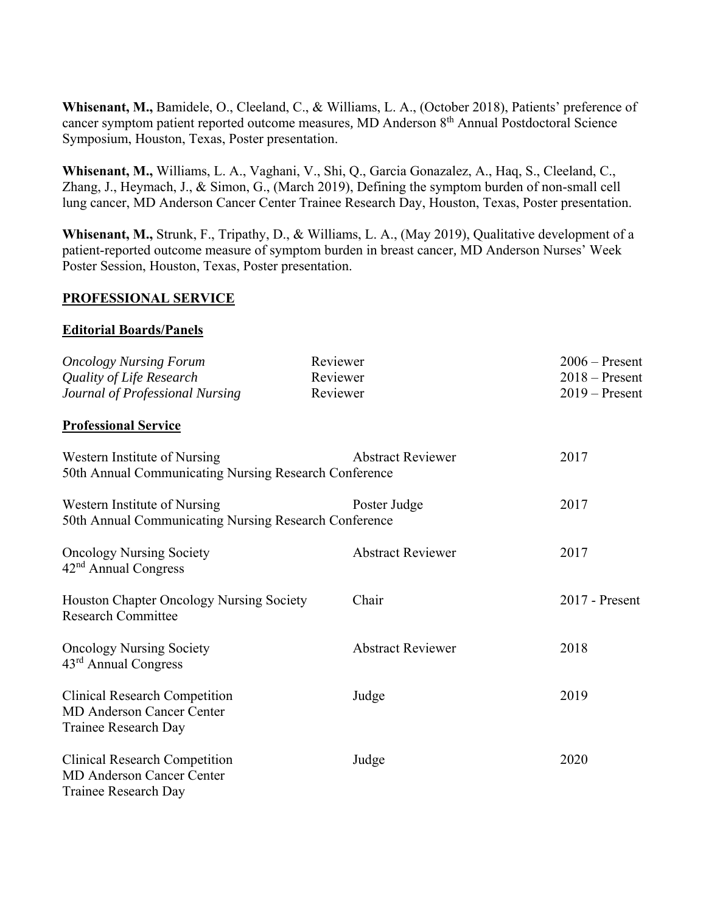**Whisenant, M.,** Bamidele, O., Cleeland, C., & Williams, L. A., (October 2018), Patients' preference of cancer symptom patient reported outcome measures*,* MD Anderson 8th Annual Postdoctoral Science Symposium, Houston, Texas, Poster presentation.

**Whisenant, M.,** Williams, L. A., Vaghani, V., Shi, Q., Garcia Gonazalez, A., Haq, S., Cleeland, C., Zhang, J., Heymach, J., & Simon, G., (March 2019), Defining the symptom burden of non-small cell lung cancer, MD Anderson Cancer Center Trainee Research Day, Houston, Texas, Poster presentation.

**Whisenant, M.,** Strunk, F., Tripathy, D., & Williams, L. A., (May 2019), Qualitative development of a patient-reported outcome measure of symptom burden in breast cancer*,* MD Anderson Nurses' Week Poster Session, Houston, Texas, Poster presentation.

### **PROFESSIONAL SERVICE**

#### **Editorial Boards/Panels**

| <b>Oncology Nursing Forum</b><br>Quality of Life Research<br>Journal of Professional Nursing     | Reviewer<br>Reviewer<br>Reviewer | $2006 -$ Present<br>$2018 -$ Present<br>$2019 -$ Present |
|--------------------------------------------------------------------------------------------------|----------------------------------|----------------------------------------------------------|
| <b>Professional Service</b>                                                                      |                                  |                                                          |
| Western Institute of Nursing<br>50th Annual Communicating Nursing Research Conference            | <b>Abstract Reviewer</b>         | 2017                                                     |
| Western Institute of Nursing<br>50th Annual Communicating Nursing Research Conference            | Poster Judge                     | 2017                                                     |
| <b>Oncology Nursing Society</b><br>$42nd$ Annual Congress                                        | <b>Abstract Reviewer</b>         | 2017                                                     |
| Houston Chapter Oncology Nursing Society<br><b>Research Committee</b>                            | Chair                            | $2017$ - Present                                         |
| <b>Oncology Nursing Society</b><br>$43rd$ Annual Congress                                        | <b>Abstract Reviewer</b>         | 2018                                                     |
| <b>Clinical Research Competition</b><br><b>MD Anderson Cancer Center</b><br>Trainee Research Day | Judge                            | 2019                                                     |
| <b>Clinical Research Competition</b><br><b>MD Anderson Cancer Center</b><br>Trainee Research Day | Judge                            | 2020                                                     |